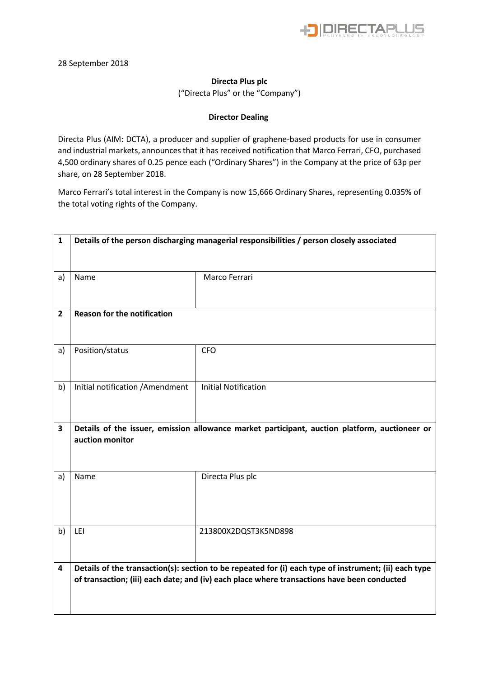

## **Directa Plus plc**

("Directa Plus" or the "Company")

## **Director Dealing**

Directa Plus (AIM: DCTA), a producer and supplier of graphene-based products for use in consumer and industrial markets, announces that it has received notification that Marco Ferrari, CFO, purchased 4,500 ordinary shares of 0.25 pence each ("Ordinary Shares") in the Company at the price of 63p per share, on 28 September 2018.

Marco Ferrari's total interest in the Company is now 15,666 Ordinary Shares, representing 0.035% of the total voting rights of the Company.

| $\mathbf{1}$   | Details of the person discharging managerial responsibilities / person closely associated |                                                                                                                                                                                                      |  |  |
|----------------|-------------------------------------------------------------------------------------------|------------------------------------------------------------------------------------------------------------------------------------------------------------------------------------------------------|--|--|
| a)             | Name                                                                                      | Marco Ferrari                                                                                                                                                                                        |  |  |
| $\overline{2}$ | <b>Reason for the notification</b>                                                        |                                                                                                                                                                                                      |  |  |
| a)             | Position/status                                                                           | <b>CFO</b>                                                                                                                                                                                           |  |  |
| b)             | Initial notification / Amendment                                                          | <b>Initial Notification</b>                                                                                                                                                                          |  |  |
| 3              | auction monitor                                                                           | Details of the issuer, emission allowance market participant, auction platform, auctioneer or                                                                                                        |  |  |
| a)             | Name                                                                                      | Directa Plus plc                                                                                                                                                                                     |  |  |
| b)             | LEI                                                                                       | 213800X2DQST3K5ND898                                                                                                                                                                                 |  |  |
| 4              |                                                                                           | Details of the transaction(s): section to be repeated for (i) each type of instrument; (ii) each type<br>of transaction; (iii) each date; and (iv) each place where transactions have been conducted |  |  |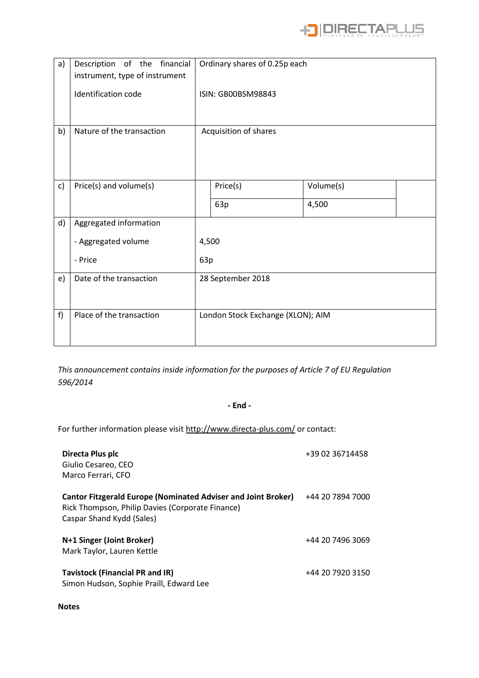

| a) | Description of the financial<br>instrument, type of instrument | Ordinary shares of 0.25p each     |                    |           |  |
|----|----------------------------------------------------------------|-----------------------------------|--------------------|-----------|--|
|    | Identification code                                            |                                   | ISIN: GB00BSM98843 |           |  |
| b) | Nature of the transaction                                      | Acquisition of shares             |                    |           |  |
| c) | Price(s) and volume(s)                                         |                                   | Price(s)           | Volume(s) |  |
|    |                                                                |                                   | 63p                | 4,500     |  |
| d) | Aggregated information                                         |                                   |                    |           |  |
|    | - Aggregated volume                                            | 4,500                             |                    |           |  |
|    | - Price                                                        | 63p                               |                    |           |  |
| e) | Date of the transaction                                        | 28 September 2018                 |                    |           |  |
| f) | Place of the transaction                                       | London Stock Exchange (XLON); AIM |                    |           |  |

*This announcement contains inside information for the purposes of Article 7 of EU Regulation 596/2014*

## **- End -**

For further information please visit<http://www.directa-plus.com/> or contact:

| Directa Plus plc<br>Giulio Cesareo, CEO<br>Marco Ferrari, CFO                                                                                         | +39 02 36714458  |
|-------------------------------------------------------------------------------------------------------------------------------------------------------|------------------|
| <b>Cantor Fitzgerald Europe (Nominated Adviser and Joint Broker)</b><br>Rick Thompson, Philip Davies (Corporate Finance)<br>Caspar Shand Kydd (Sales) | +44 20 7894 7000 |
| N+1 Singer (Joint Broker)<br>Mark Taylor, Lauren Kettle                                                                                               | +44 20 7496 3069 |
| Tavistock (Financial PR and IR)<br>Simon Hudson, Sophie Praill, Edward Lee                                                                            | +44 20 7920 3150 |

## **Notes**